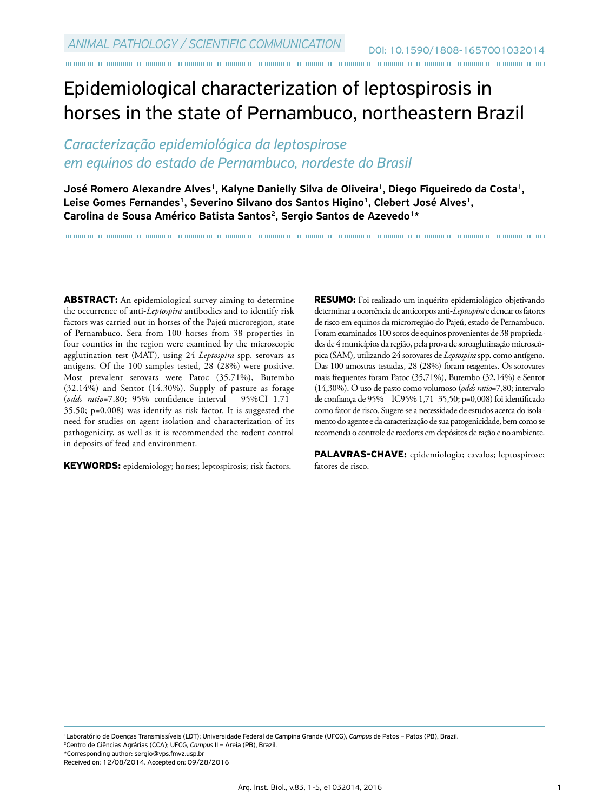## Epidemiological characterization of leptospirosis in horses in the state of Pernambuco, northeastern Brazil

## *Caracterização epidemiológica da leptospirose em equinos do estado de Pernambuco, nordeste do Brasil*

José Romero Alexandre Alves<sup>1</sup>, Kalyne Danielly Silva de Oliveira<sup>1</sup>, Diego Figueiredo da Costa<sup>1</sup>, Leise Gomes Fernandes<sup>1</sup>, Severino Silvano dos Santos Higino<sup>1</sup>, Clebert José Alves<sup>1</sup>, Carolina de Sousa Américo Batista Santos<sup>2</sup>, Sergio Santos de Azevedo<sup>1\*</sup>

**ABSTRACT:** An epidemiological survey aiming to determine the occurrence of anti-*Leptospira* antibodies and to identify risk factors was carried out in horses of the Pajeú microregion, state of Pernambuco. Sera from 100 horses from 38 properties in four counties in the region were examined by the microscopic agglutination test (MAT), using 24 *Leptospira* spp. serovars as antigens. Of the 100 samples tested, 28 (28%) were positive. Most prevalent serovars were Patoc (35.71%), Butembo (32.14%) and Sentot (14.30%). Supply of pasture as forage (*odds ratio*=7.80; 95% confidence interval – 95%CI 1.71– 35.50; p=0.008) was identify as risk factor. It is suggested the need for studies on agent isolation and characterization of its pathogenicity, as well as it is recommended the rodent control in deposits of feed and environment.

**KEYWORDS:** epidemiology; horses; leptospirosis; risk factors.

**RESUMO:** Foi realizado um inquérito epidemiológico objetivando determinar a ocorrência de anticorpos anti-*Leptospira* e elencar os fatores de risco em equinos da microrregião do Pajeú, estado de Pernambuco. Foram examinados 100 soros de equinos provenientes de 38 propriedades de 4 municípios da região, pela prova de soroaglutinação microscópica (SAM), utilizando 24 sorovares de *Leptospira* spp. como antígeno. Das 100 amostras testadas, 28 (28%) foram reagentes. Os sorovares mais frequentes foram Patoc (35,71%), Butembo (32,14%) e Sentot (14,30%). O uso de pasto como volumoso (*odds ratio*=7,80; intervalo de confiança de 95% – IC95% 1,71–35,50; p=0,008) foi identificado como fator de risco. Sugere-se a necessidade de estudos acerca do isolamento do agente e da caracterização de sua patogenicidade, bem como se recomenda o controle de roedores em depósitos de ração e no ambiente.

**PALAVRAS-CHAVE:** epidemiologia; cavalos; leptospirose; fatores de risco.

1Laboratório de Doenças Transmissíveis (LDT); Universidade Federal de Campina Grande (UFCG), *Campus* de Patos – Patos (PB), Brazil. 2Centro de Ciências Agrárias (CCA); UFCG, *Campus* II – Areia (PB), Brazil.

\*Corresponding author: sergio@vps.fmvz.usp.br

Received on: 12/08/2014. Accepted on: 09/28/2016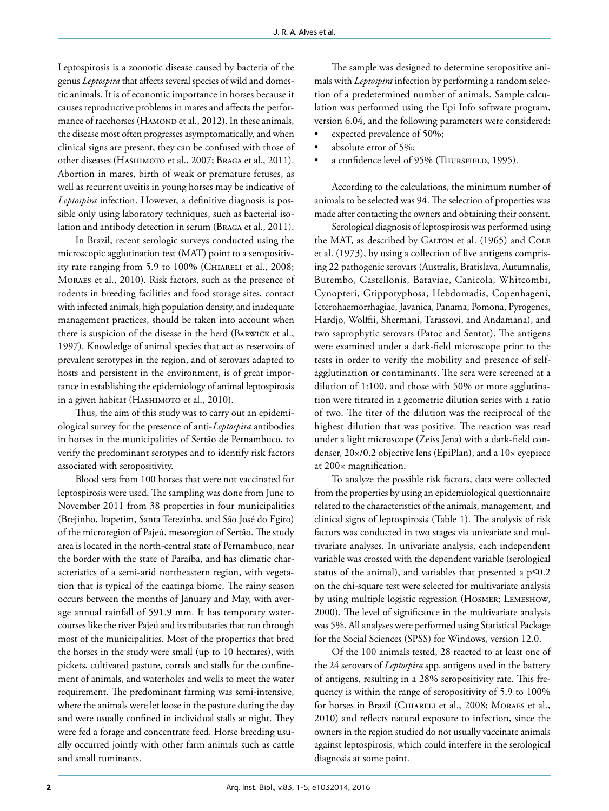Leptospirosis is a zoonotic disease caused by bacteria of the genus *Leptospira* that affects several species of wild and domestic animals. It is of economic importance in horses because it causes reproductive problems in mares and affects the performance of racehorses (HAMOND et al., 2012). In these animals, the disease most often progresses asymptomatically, and when clinical signs are present, they can be confused with those of other diseases (Hashimoto et al., 2007; Braga et al., 2011). Abortion in mares, birth of weak or premature fetuses, as well as recurrent uveitis in young horses may be indicative of *Leptospira* infection. However, a definitive diagnosis is possible only using laboratory techniques, such as bacterial isolation and antibody detection in serum (Braga et al., 2011).

In Brazil, recent serologic surveys conducted using the microscopic agglutination test (MAT) point to a seropositivity rate ranging from 5.9 to 100% (CHIARELI et al., 2008; Moraes et al., 2010). Risk factors, such as the presence of rodents in breeding facilities and food storage sites, contact with infected animals, high population density, and inadequate management practices, should be taken into account when there is suspicion of the disease in the herd (Barwick et al., 1997). Knowledge of animal species that act as reservoirs of prevalent serotypes in the region, and of serovars adapted to hosts and persistent in the environment, is of great importance in establishing the epidemiology of animal leptospirosis in a given habitat (HASHIMOTO et al., 2010).

Thus, the aim of this study was to carry out an epidemiological survey for the presence of anti-*Leptospira* antibodies in horses in the municipalities of Sertão de Pernambuco, to verify the predominant serotypes and to identify risk factors associated with seropositivity.

Blood sera from 100 horses that were not vaccinated for leptospirosis were used. The sampling was done from June to November 2011 from 38 properties in four municipalities (Brejinho, Itapetim, Santa Terezinha, and São José do Egito) of the microregion of Pajeú, mesoregion of Sertão. The study area is located in the north-central state of Pernambuco, near the border with the state of Paraíba, and has climatic characteristics of a semi-arid northeastern region, with vegetation that is typical of the caatinga biome. The rainy season occurs between the months of January and May, with average annual rainfall of 591.9 mm. It has temporary watercourses like the river Pajeú and its tributaries that run through most of the municipalities. Most of the properties that bred the horses in the study were small (up to 10 hectares), with pickets, cultivated pasture, corrals and stalls for the confinement of animals, and waterholes and wells to meet the water requirement. The predominant farming was semi-intensive, where the animals were let loose in the pasture during the day and were usually confined in individual stalls at night. They were fed a forage and concentrate feed. Horse breeding usually occurred jointly with other farm animals such as cattle and small ruminants.

The sample was designed to determine seropositive animals with *Leptospira* infection by performing a random selection of a predetermined number of animals. Sample calculation was performed using the Epi Info software program, version 6.04, and the following parameters were considered:

- expected prevalence of 50%;
- absolute error of 5%;
- a confidence level of 95% (THURSFIELD, 1995).

According to the calculations, the minimum number of animals to be selected was 94. The selection of properties was made after contacting the owners and obtaining their consent.

Serological diagnosis of leptospirosis was performed using the MAT, as described by GALTON et al. (1965) and COLE et al. (1973), by using a collection of live antigens comprising 22 pathogenic serovars (Australis, Bratislava, Autumnalis, Butembo, Castellonis, Bataviae, Canicola, Whitcombi, Cynopteri, Grippotyphosa, Hebdomadis, Copenhageni, Icterohaemorrhagiae, Javanica, Panama, Pomona, Pyrogenes, Hardjo, Wolffii, Shermani, Tarassovi, and Andamana), and two saprophytic serovars (Patoc and Sentot). The antigens were examined under a dark-field microscope prior to the tests in order to verify the mobility and presence of selfagglutination or contaminants. The sera were screened at a dilution of 1:100, and those with 50% or more agglutination were titrated in a geometric dilution series with a ratio of two. The titer of the dilution was the reciprocal of the highest dilution that was positive. The reaction was read under a light microscope (Zeiss Jena) with a dark-field condenser, 20×/0.2 objective lens (EpiPlan), and a 10× eyepiece at 200× magnification.

To analyze the possible risk factors, data were collected from the properties by using an epidemiological questionnaire related to the characteristics of the animals, management, and clinical signs of leptospirosis (Table 1). The analysis of risk factors was conducted in two stages via univariate and multivariate analyses. In univariate analysis, each independent variable was crossed with the dependent variable (serological status of the animal), and variables that presented a  $p \le 0.2$ on the chi-square test were selected for multivariate analysis by using multiple logistic regression (Hosmer; Lemeshow, 2000). The level of significance in the multivariate analysis was 5%. All analyses were performed using Statistical Package for the Social Sciences (SPSS) for Windows, version 12.0.

Of the 100 animals tested, 28 reacted to at least one of the 24 serovars of *Leptospira* spp. antigens used in the battery of antigens, resulting in a 28% seropositivity rate. This frequency is within the range of seropositivity of 5.9 to 100% for horses in Brazil (CHIARELI et al., 2008; MORAES et al., 2010) and reflects natural exposure to infection, since the owners in the region studied do not usually vaccinate animals against leptospirosis, which could interfere in the serological diagnosis at some point.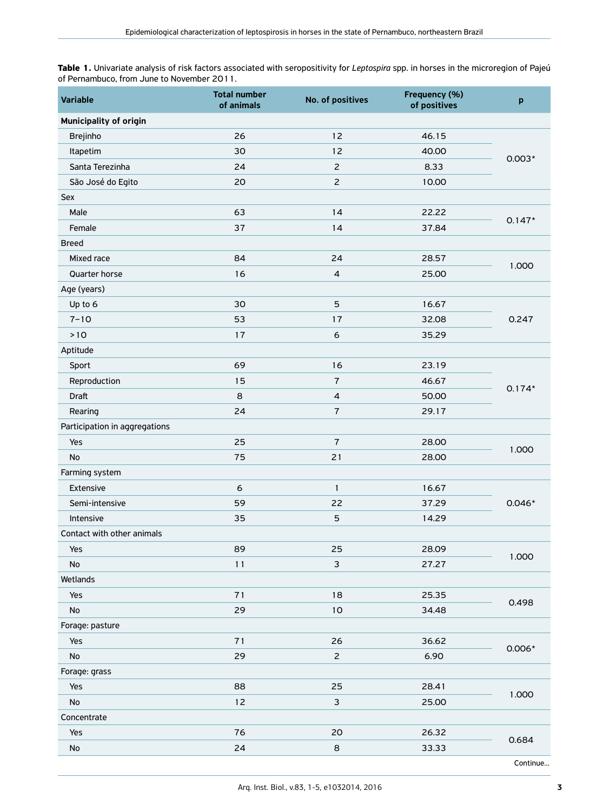**Table 1.** Univariate analysis of risk factors associated with seropositivity for *Leptospira* spp. in horses in the microregion of Pajeú of Pernambuco, from June to November 2011.

| <b>Variable</b>               | <b>Total number</b><br>of animals | No. of positives         | Frequency (%)<br>of positives | p        |
|-------------------------------|-----------------------------------|--------------------------|-------------------------------|----------|
| Municipality of origin        |                                   |                          |                               |          |
| <b>Brejinho</b>               | 26                                | 12                       | 46.15                         |          |
| Itapetim                      | 30                                | 12                       | 40.00                         | $0.003*$ |
| Santa Terezinha               | 24                                |                          | 8.33                          |          |
| São José do Egito             | 20                                | $\overline{c}$           | 10.00                         |          |
| Sex                           |                                   |                          |                               |          |
| Male                          | 63                                | 14                       | 22.22                         | $0.147*$ |
| Female                        | 37                                | 14                       | 37.84                         |          |
| <b>Breed</b>                  |                                   |                          |                               |          |
| Mixed race                    | 84                                | 24                       | 28.57                         |          |
| Quarter horse                 | 16                                | $\overline{\mathcal{L}}$ | 25.00                         | 1.000    |
| Age (years)                   |                                   |                          |                               |          |
| Up to 6                       | 30                                | 5                        | 16.67                         |          |
| $7 - 10$                      | 53                                | 17                       | 32.08                         | 0.247    |
| $>10$                         | 17                                | $\epsilon$               | 35.29                         |          |
| Aptitude                      |                                   |                          |                               |          |
| Sport                         | 69                                | 16                       | 23.19                         | $0.174*$ |
| Reproduction                  | 15                                | $\overline{7}$           | 46.67                         |          |
| Draft                         | 8                                 | $\overline{\mathcal{L}}$ | 50.00                         |          |
| Rearing                       | 24                                | $\sqrt{7}$               | 29.17                         |          |
| Participation in aggregations |                                   |                          |                               |          |
| Yes                           | 25                                | $\overline{7}$           | 28.00                         | 1.000    |
| <b>No</b>                     | 75                                | 21                       | 28.00                         |          |
| Farming system                |                                   |                          |                               |          |
| Extensive                     | 6                                 | $\mathbf{1}$             | 16.67                         | $0.046*$ |
| Semi-intensive                | 59                                | 22                       | 37.29                         |          |
| Intensive                     | 35                                | $\overline{5}$           | 14.29                         |          |
| Contact with other animals    |                                   |                          |                               |          |
| Yes                           | 89                                | 25                       | 28.09                         | 1.000    |
| No                            | 11                                | $\mathbf{3}$             | 27.27                         |          |
| Wetlands                      |                                   |                          |                               |          |
| Yes                           | 71                                | 18                       | 25.35                         | 0.498    |
| $\mathsf{No}$                 | 29                                | $10$                     | 34.48                         |          |
| Forage: pasture               |                                   |                          |                               |          |
| Yes                           | 71                                | 26                       | 36.62                         | $0.006*$ |
| $\mathsf{No}$                 | 29                                |                          | 6.90                          |          |
| Forage: grass                 |                                   |                          |                               |          |
| Yes                           | 88                                | 25                       | 28.41                         | 1.000    |
| No                            | 12                                | $\mathsf 3$              | 25.00                         |          |
| Concentrate                   |                                   |                          |                               |          |
| Yes                           | 76                                | 20                       | 26.32                         | 0.684    |
| $\mathsf{No}$                 | 24                                | $\,$ 8 $\,$              | 33.33                         |          |
|                               |                                   |                          |                               | Continue |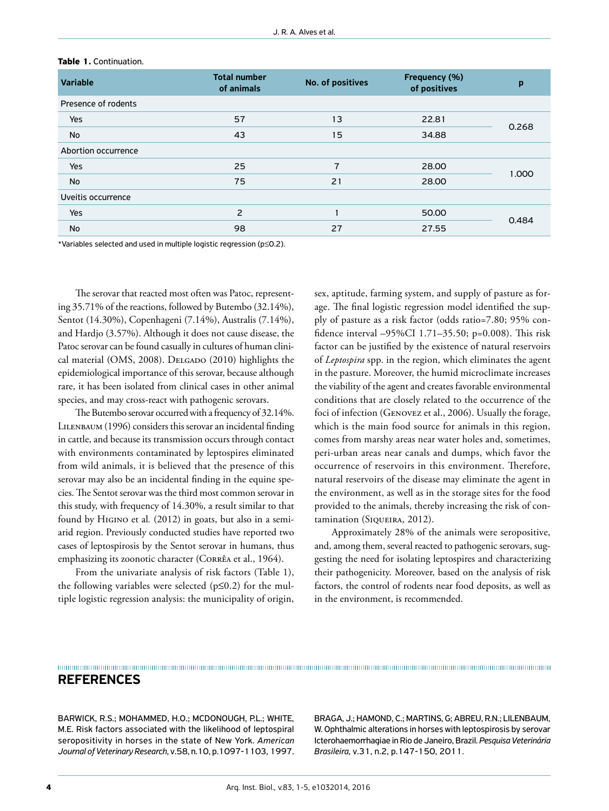| <b>Variable</b>     | <b>Total number</b><br>of animals | No. of positives | Frequency (%)<br>of positives | p     |
|---------------------|-----------------------------------|------------------|-------------------------------|-------|
| Presence of rodents |                                   |                  |                               |       |
| Yes                 | 57                                | 13               | 22.81                         | 0.268 |
| <b>No</b>           | 43                                | 15               | 34.88                         |       |
| Abortion occurrence |                                   |                  |                               |       |
| <b>Yes</b>          | 25                                | 7                | 28.00                         | 1.000 |
| <b>No</b>           | 75                                | 21               | 28.00                         |       |
| Uveitis occurrence  |                                   |                  |                               |       |
| <b>Yes</b>          | 2                                 |                  | 50.00                         | 0.484 |
| No                  | 98                                | 27               | 27.55                         |       |

## **Table 1.** Continuation.

\*Variables selected and used in multiple logistic regression (p≤0.2).

The serovar that reacted most often was Patoc, representing 35.71% of the reactions, followed by Butembo (32.14%), Sentot (14.30%), Copenhageni (7.14%), Australis (7.14%), and Hardjo (3.57%). Although it does not cause disease, the Patoc serovar can be found casually in cultures of human clinical material (OMS, 2008). DELGADO (2010) highlights the epidemiological importance of this serovar, because although rare, it has been isolated from clinical cases in other animal species, and may cross-react with pathogenic serovars.

The Butembo serovar occurred with a frequency of 32.14%. LILENBAUM (1996) considers this serovar an incidental finding in cattle, and because its transmission occurs through contact with environments contaminated by leptospires eliminated from wild animals, it is believed that the presence of this serovar may also be an incidental finding in the equine species. The Sentot serovar was the third most common serovar in this study, with frequency of 14.30%, a result similar to that found by Higino et al*.* (2012) in goats, but also in a semiarid region. Previously conducted studies have reported two cases of leptospirosis by the Sentot serovar in humans, thus emphasizing its zoonotic character (Corrêa et al., 1964).

From the univariate analysis of risk factors (Table 1), the following variables were selected ( $p \le 0.2$ ) for the multiple logistic regression analysis: the municipality of origin, sex, aptitude, farming system, and supply of pasture as forage. The final logistic regression model identified the supply of pasture as a risk factor (odds ratio=7.80; 95% confidence interval –95%CI 1.71–35.50; p=0.008). This risk factor can be justified by the existence of natural reservoirs of *Leptospira* spp. in the region, which eliminates the agent in the pasture. Moreover, the humid microclimate increases the viability of the agent and creates favorable environmental conditions that are closely related to the occurrence of the foci of infection (Genovez et al., 2006). Usually the forage, which is the main food source for animals in this region, comes from marshy areas near water holes and, sometimes, peri-urban areas near canals and dumps, which favor the occurrence of reservoirs in this environment. Therefore, natural reservoirs of the disease may eliminate the agent in the environment, as well as in the storage sites for the food provided to the animals, thereby increasing the risk of contamination (SIQUEIRA, 2012).

Approximately 28% of the animals were seropositive, and, among them, several reacted to pathogenic serovars, suggesting the need for isolating leptospires and characterizing their pathogenicity. Moreover, based on the analysis of risk factors, the control of rodents near food deposits, as well as in the environment, is recommended.

## **REFERENCES**

BARWICK, R.S.; MOHAMMED, H.O.; MCDONOUGH, P.L.; WHITE, M.E. Risk factors associated with the likelihood of leptospiral seropositivity in horses in the state of New York. *American Journal of Veterinary Research*, v.58, n.10, p.1097-1103, 1997. BRAGA, J.; HAMOND, C.; MARTINS, G; ABREU, R.N.; LILENBAUM, W. Ophthalmic alterations in horses with leptospirosis by serovar Icterohaemorrhagiae in Rio de Janeiro, Brazil. *Pesquisa Veterinária Brasileira*, v.31, n.2, p.147-150, 2011.